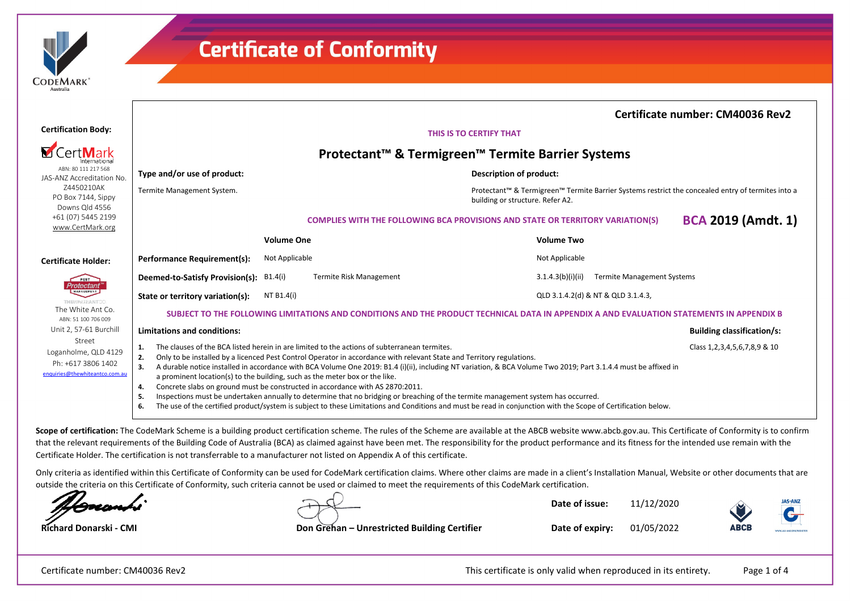| <b>DEMARK</b> |  |
|---------------|--|
| Australia     |  |

|                                                                                        |                                                                                                                                          |                                                                                                                                                                                                                                                                                                                                                                                                                                             |                                                                                                                                                                                                                                                                                                                                  | Certificate number: CM40036 Rev2     |
|----------------------------------------------------------------------------------------|------------------------------------------------------------------------------------------------------------------------------------------|---------------------------------------------------------------------------------------------------------------------------------------------------------------------------------------------------------------------------------------------------------------------------------------------------------------------------------------------------------------------------------------------------------------------------------------------|----------------------------------------------------------------------------------------------------------------------------------------------------------------------------------------------------------------------------------------------------------------------------------------------------------------------------------|--------------------------------------|
| <b>Certification Body:</b>                                                             | THIS IS TO CERTIFY THAT                                                                                                                  |                                                                                                                                                                                                                                                                                                                                                                                                                                             |                                                                                                                                                                                                                                                                                                                                  |                                      |
| <b>M</b> CertMark                                                                      | Protectant™ & Termigreen™ Termite Barrier Systems                                                                                        |                                                                                                                                                                                                                                                                                                                                                                                                                                             |                                                                                                                                                                                                                                                                                                                                  |                                      |
| ABN: 80 111 217 568<br>JAS-ANZ Accreditation No.                                       | Type and/or use of product:                                                                                                              |                                                                                                                                                                                                                                                                                                                                                                                                                                             | Description of product:                                                                                                                                                                                                                                                                                                          |                                      |
| Z4450210AK<br>PO Box 7144, Sippy<br>Downs Old 4556                                     | Termite Management System.                                                                                                               |                                                                                                                                                                                                                                                                                                                                                                                                                                             | Protectant™ & Termigreen™ Termite Barrier Systems restrict the concealed entry of termites into a<br>building or structure. Refer A2.                                                                                                                                                                                            |                                      |
| +61 (07) 5445 2199<br>www.CertMark.org                                                 |                                                                                                                                          |                                                                                                                                                                                                                                                                                                                                                                                                                                             | <b>COMPLIES WITH THE FOLLOWING BCA PROVISIONS AND STATE OR TERRITORY VARIATION(S)</b>                                                                                                                                                                                                                                            | <b>BCA 2019 (Amdt. 1)</b>            |
|                                                                                        |                                                                                                                                          | <b>Volume One</b>                                                                                                                                                                                                                                                                                                                                                                                                                           | <b>Volume Two</b>                                                                                                                                                                                                                                                                                                                |                                      |
| <b>Certificate Holder:</b>                                                             | Performance Requirement(s):                                                                                                              | Not Applicable                                                                                                                                                                                                                                                                                                                                                                                                                              | Not Applicable                                                                                                                                                                                                                                                                                                                   |                                      |
| PEST<br><b>Protectant</b>                                                              | Deemed-to-Satisfy Provision(s):<br>B1.4(i)                                                                                               | <b>Termite Risk Management</b>                                                                                                                                                                                                                                                                                                                                                                                                              | <b>Termite Management Systems</b><br>3.1.4.3(b)(i)(ii)                                                                                                                                                                                                                                                                           |                                      |
| MANAGEMENT<br>ΤΗΕΙΛΝΗΤΕΑΝΤΟΟ                                                           | NT B1.4(i)<br>State or territory variation(s):                                                                                           |                                                                                                                                                                                                                                                                                                                                                                                                                                             | QLD 3.1.4.2(d) & NT & QLD 3.1.4.3,                                                                                                                                                                                                                                                                                               |                                      |
| The White Ant Co.<br>ABN: 51 100 706 009                                               | SUBJECT TO THE FOLLOWING LIMITATIONS AND CONDITIONS AND THE PRODUCT TECHNICAL DATA IN APPENDIX A AND EVALUATION STATEMENTS IN APPENDIX B |                                                                                                                                                                                                                                                                                                                                                                                                                                             |                                                                                                                                                                                                                                                                                                                                  |                                      |
| Unit 2, 57-61 Burchill                                                                 | <b>Limitations and conditions:</b>                                                                                                       |                                                                                                                                                                                                                                                                                                                                                                                                                                             |                                                                                                                                                                                                                                                                                                                                  | <b>Building classification/s:</b>    |
| Street<br>Loganholme, QLD 4129<br>Ph: +617 3806 1402<br>enquiries@thewhiteantco.com.au | 1.<br>2.<br>3.<br>a prominent location(s) to the building, such as the meter box or the like.<br>4.<br>5.<br>6.                          | The clauses of the BCA listed herein in are limited to the actions of subterranean termites.<br>Only to be installed by a licenced Pest Control Operator in accordance with relevant State and Territory regulations.<br>Concrete slabs on ground must be constructed in accordance with AS 2870:2011.<br>Inspections must be undertaken annually to determine that no bridging or breaching of the termite management system has occurred. | A durable notice installed in accordance with BCA Volume One 2019: B1.4 (i)(ii), including NT variation, & BCA Volume Two 2019; Part 3.1.4.4 must be affixed in<br>The use of the certified product/system is subject to these Limitations and Conditions and must be read in conjunction with the Scope of Certification below. | Class 1, 2, 3, 4, 5, 6, 7, 8, 9 & 10 |

Scope of certification: The CodeMark Scheme is a building product certification scheme. The rules of the Scheme are available at the ABCB website www.abcb.gov.au. This Certificate of Conformity is to confirm that the relevant requirements of the Building Code of Australia (BCA) as claimed against have been met. The responsibility for the product performance and its fitness for the intended use remain with the Certificate Holder. The certification is not transferrable to a manufacturer not listed on Appendix A of this certificate.

Only criteria as identified within this Certificate of Conformity can be used for CodeMark certification claims. Where other claims are made in a client's Installation Manual, Website or other documents that are outside the criteria on this Certificate of Conformity, such criteria cannot be used or claimed to meet the requirements of this CodeMark certification.

**Date of issue:** 11/12/2020



**Richard Donarski - CMI Don Grehan – Unrestricted Building Certifier**

**Date of expiry:** 01/05/2022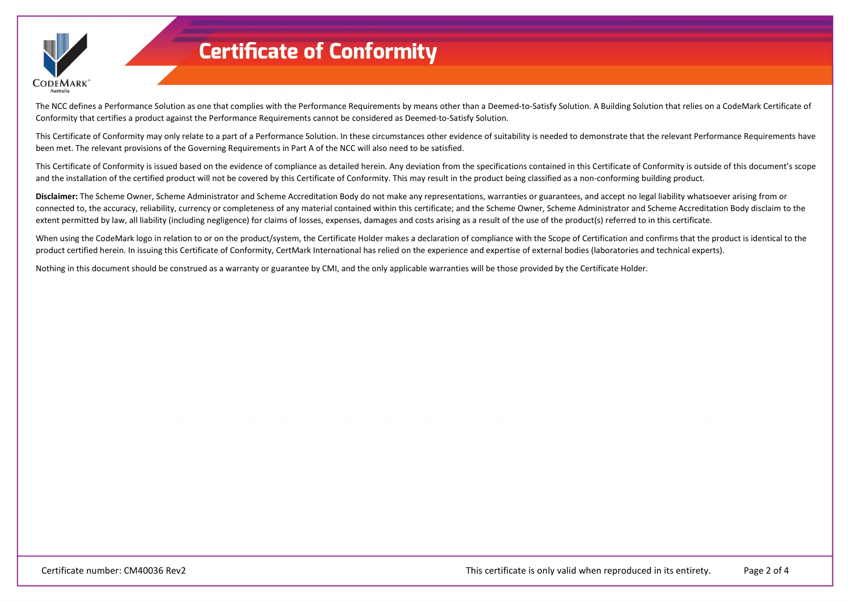

The NCC defines a Performance Solution as one that complies with the Performance Requirements by means other than a Deemed-to-Satisfy Solution. A Building Solution that relies on a CodeMark Certificate of Conformity that certifies a product against the Performance Requirements cannot be considered as Deemed-to-Satisfy Solution.

This Certificate of Conformity may only relate to a part of a Performance Solution. In these circumstances other evidence of suitability is needed to demonstrate that the relevant Performance Requirements have been met. The relevant provisions of the Governing Requirements in Part A of the NCC will also need to be satisfied.

This Certificate of Conformity is issued based on the evidence of compliance as detailed herein. Any deviation from the specifications contained in this Certificate of Conformity is outside of this document's scope and the installation of the certified product will not be covered by this Certificate of Conformity. This may result in the product being classified as a non-conforming building product.

**Disclaimer:** The Scheme Owner, Scheme Administrator and Scheme Accreditation Body do not make any representations, warranties or guarantees, and accept no legal liability whatsoever arising from or connected to, the accuracy, reliability, currency or completeness of any material contained within this certificate; and the Scheme Owner, Scheme Administrator and Scheme Accreditation Body disclaim to the extent permitted by law, all liability (including negligence) for claims of losses, expenses, damages and costs arising as a result of the use of the product(s) referred to in this certificate.

When using the CodeMark logo in relation to or on the product/system, the Certificate Holder makes a declaration of compliance with the Scope of Certification and confirms that the product is identical to the product certified herein. In issuing this Certificate of Conformity, CertMark International has relied on the experience and expertise of external bodies (laboratories and technical experts).

Nothing in this document should be construed as a warranty or guarantee by CMI, and the only applicable warranties will be those provided by the Certificate Holder.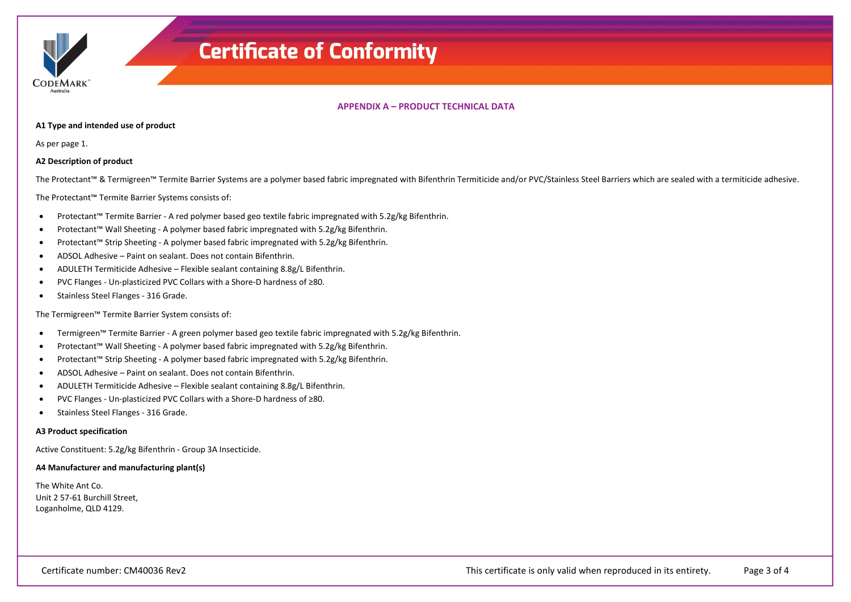

## **APPENDIX A – PRODUCT TECHNICAL DATA**

#### **A1 Type and intended use of product**

As per page 1.

## **A2 Description of product**

The Protectant™ & Termigreen™ Termite Barrier Systems are a polymer based fabric impregnated with Bifenthrin Termiticide and/or PVC/Stainless Steel Barriers which are sealed with a termiticide adhesive.

The Protectant™ Termite Barrier Systems consists of:

- Protectant™ Termite Barrier A red polymer based geo textile fabric impregnated with 5.2g/kg Bifenthrin.
- Protectant™ Wall Sheeting A polymer based fabric impregnated with 5.2g/kg Bifenthrin.
- Protectant™ Strip Sheeting A polymer based fabric impregnated with 5.2g/kg Bifenthrin.
- ADSOL Adhesive Paint on sealant. Does not contain Bifenthrin.
- ADULETH Termiticide Adhesive Flexible sealant containing 8.8g/L Bifenthrin.
- PVC Flanges Un-plasticized PVC Collars with a Shore-D hardness of ≥80.
- Stainless Steel Flanges 316 Grade.

The Termigreen™ Termite Barrier System consists of:

- Termigreen™ Termite Barrier A green polymer based geo textile fabric impregnated with 5.2g/kg Bifenthrin.
- Protectant™ Wall Sheeting A polymer based fabric impregnated with 5.2g/kg Bifenthrin.
- Protectant™ Strip Sheeting A polymer based fabric impregnated with 5.2g/kg Bifenthrin.
- ADSOL Adhesive Paint on sealant. Does not contain Bifenthrin.
- ADULETH Termiticide Adhesive Flexible sealant containing 8.8g/L Bifenthrin.
- PVC Flanges Un-plasticized PVC Collars with a Shore-D hardness of ≥80.
- Stainless Steel Flanges 316 Grade.

### **A3 Product specification**

Active Constituent: 5.2g/kg Bifenthrin - Group 3A Insecticide.

### **A4 Manufacturer and manufacturing plant(s)**

The White Ant Co. Unit 2 57-61 Burchill Street, Loganholme, QLD 4129.